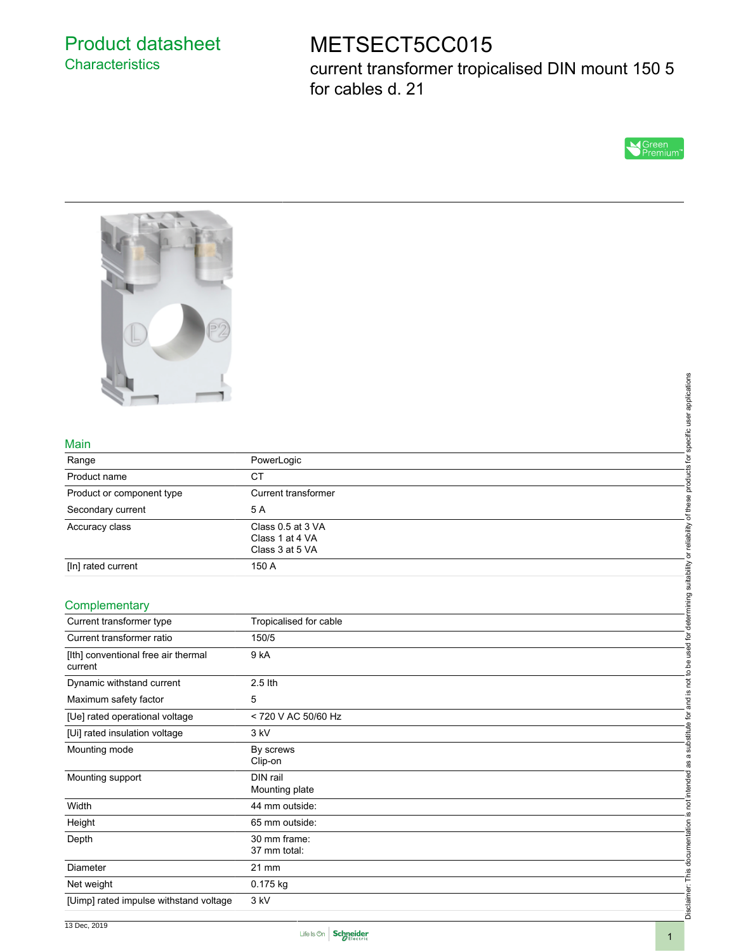## Product datasheet **Characteristics**

# METSECT5CC015

current transformer tropicalised DIN mount 150 5 for cables d. 21





#### Main

| Range                     | PowerLogic                                              |  |
|---------------------------|---------------------------------------------------------|--|
| Product name              | СT                                                      |  |
| Product or component type | Current transformer                                     |  |
| Secondary current         | 5 A                                                     |  |
| Accuracy class            | Class 0.5 at 3 VA<br>Class 1 at 4 VA<br>Class 3 at 5 VA |  |
| [In] rated current        | 150 A                                                   |  |

#### **Complementary**

| Main                                           |                                                         |                                                                                                            |  |  |
|------------------------------------------------|---------------------------------------------------------|------------------------------------------------------------------------------------------------------------|--|--|
| Range                                          | PowerLogic                                              |                                                                                                            |  |  |
| Product name                                   | <b>CT</b>                                               |                                                                                                            |  |  |
| Product or component type                      | Current transformer                                     |                                                                                                            |  |  |
| Secondary current                              | 5A                                                      |                                                                                                            |  |  |
| Accuracy class                                 | Class 0.5 at 3 VA<br>Class 1 at 4 VA<br>Class 3 at 5 VA | not to be used for determining suitability or reliability of these products for specific user applications |  |  |
| [In] rated current                             | 150 A                                                   |                                                                                                            |  |  |
| Complementary                                  |                                                         |                                                                                                            |  |  |
| Current transformer type                       | Tropicalised for cable                                  |                                                                                                            |  |  |
| Current transformer ratio                      | 150/5                                                   |                                                                                                            |  |  |
| [Ith] conventional free air thermal<br>current | 9 <sub>kA</sub>                                         |                                                                                                            |  |  |
| Dynamic withstand current                      | 2.5 lth                                                 |                                                                                                            |  |  |
| Maximum safety factor                          | 5                                                       | . <u>ഗ</u><br>andi                                                                                         |  |  |
| [Ue] rated operational voltage                 | < 720 V AC 50/60 Hz                                     |                                                                                                            |  |  |
| [Ui] rated insulation voltage                  | 3 kV                                                    |                                                                                                            |  |  |
| Mounting mode                                  | By screws<br>Clip-on                                    | not intended as a substitute for                                                                           |  |  |
| Mounting support                               | DIN rail<br>Mounting plate                              |                                                                                                            |  |  |
| Width                                          | 44 mm outside:                                          |                                                                                                            |  |  |
| Height                                         | 65 mm outside:                                          | <u>ي</u> .                                                                                                 |  |  |
| Depth                                          | 30 mm frame:<br>37 mm total:                            | Disclaimer: This documentation                                                                             |  |  |
| Diameter                                       | 21 mm                                                   |                                                                                                            |  |  |
| Net weight                                     | 0.175 kg                                                |                                                                                                            |  |  |
| [Uimp] rated impulse withstand voltage         | 3 kV                                                    |                                                                                                            |  |  |